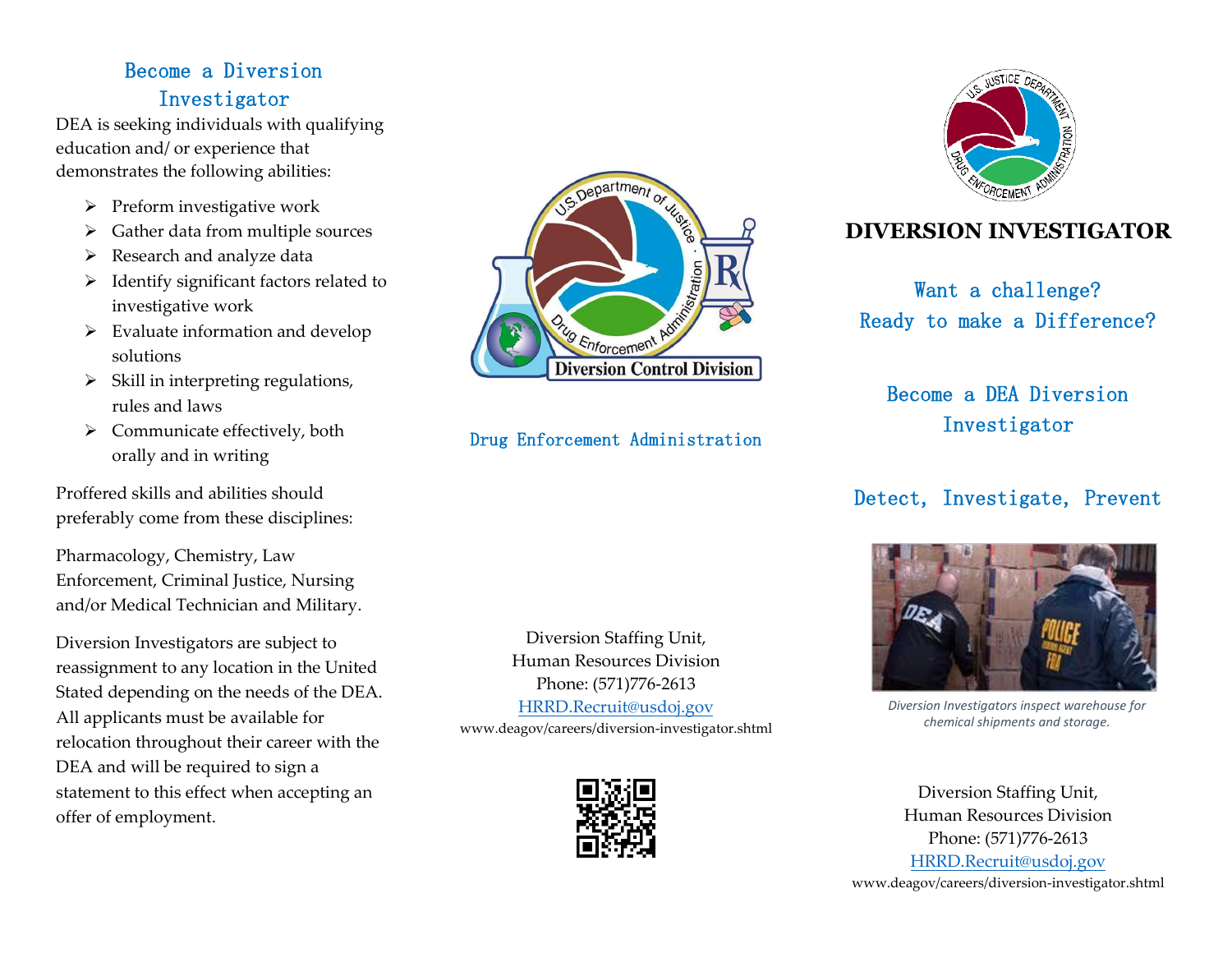# Become a Diversion Investigator

DEA is seeking individuals with qualifying education and/ or experience that demonstrates the following abilities:

- $\triangleright$  Preform investigative work
- $\triangleright$  Gather data from multiple sources
- $\triangleright$  Research and analyze data
- $\triangleright$  Identify significant factors related to investigative work
- $\triangleright$  Evaluate information and develop solutions
- $\triangleright$  Skill in interpreting regulations, rules and laws
- $\triangleright$  Communicate effectively, both orally and in writing

Proffered skills and abilities should preferably come from these disciplines:

Pharmacology, Chemistry, Law Enforcement, Criminal Justice, Nursing and/or Medical Technician and Military.

Diversion Investigators are subject to reassignment to any location in the United Stated depending on the needs of the DEA. All applicants must be available for relocation throughout their career with the DEA and will be required to sign a statement to this effect when accepting an offer of employment.



Drug Enforcement Administration

Diversion Staffing Unit, Human Resources Division Phone: (571)776-2613 [HRRD.Recruit@usdoj.gov](mailto:HRRD.Recruit@usdoj.gov) www.deagov/careers/diversion-investigator.shtml





## **DIVERSION INVESTIGATOR**

Want a challenge? Ready to make a Difference?

Become a DEA Diversion Investigator

## Detect, Investigate, Prevent



*Diversion Investigators inspect warehouse for chemical shipments and storage.*

Diversion Staffing Unit, Human Resources Division Phone: (571)776-2613 [HRRD.Recruit@usdoj.gov](mailto:HRRD.Recruit@usdoj.gov) www.deagov/careers/diversion-investigator.shtml